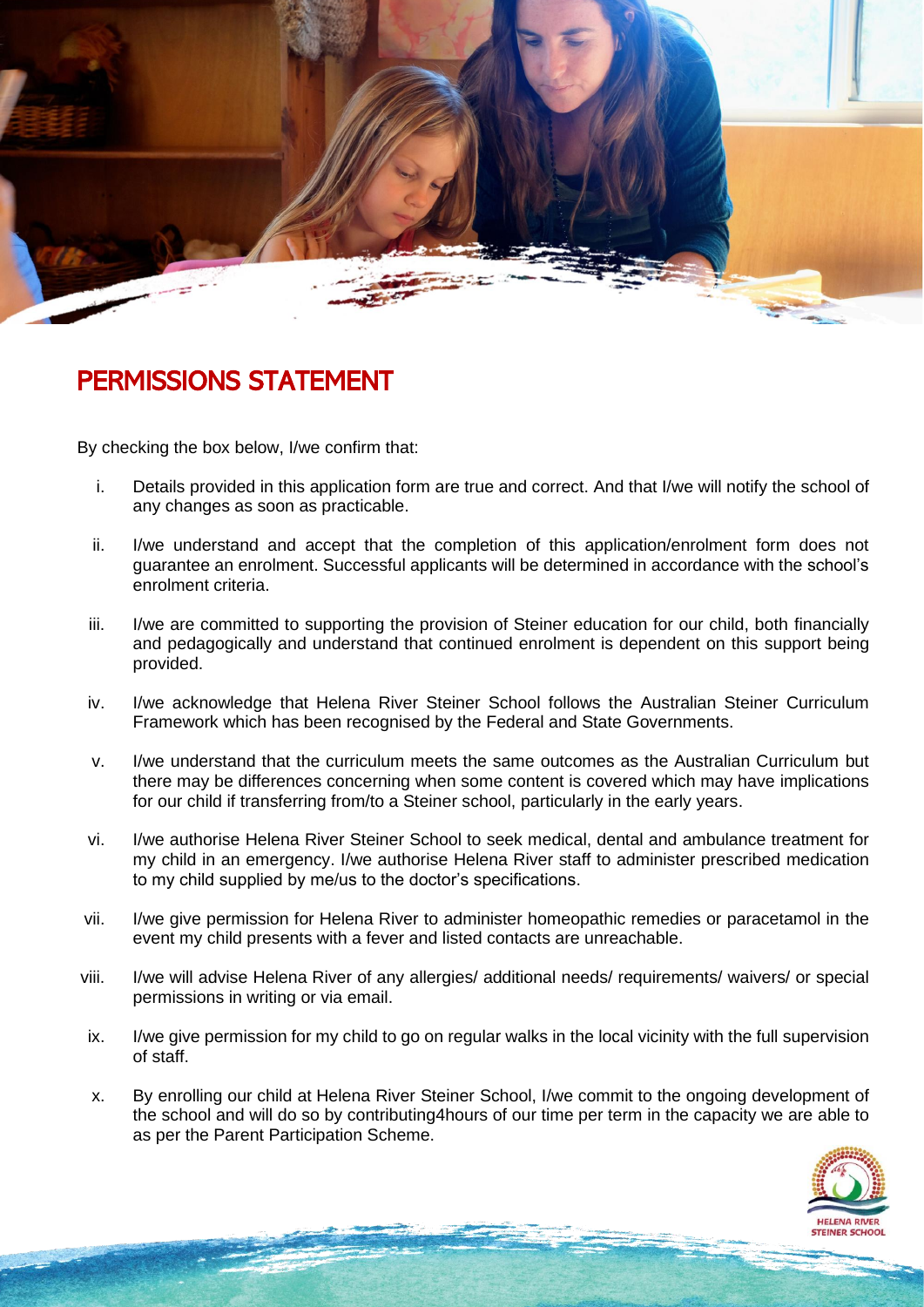

## PERMISSIONS STATEMENT

By checking the box below, I/we confirm that:

- i. Details provided in this application form are true and correct. And that I/we will notify the school of any changes as soon as practicable.
- ii. I/we understand and accept that the completion of this application/enrolment form does not guarantee an enrolment. Successful applicants will be determined in accordance with the school's enrolment criteria.
- iii. I/we are committed to supporting the provision of Steiner education for our child, both financially and pedagogically and understand that continued enrolment is dependent on this support being provided.
- iv. I/we acknowledge that Helena River Steiner School follows the Australian Steiner Curriculum Framework which has been recognised by the Federal and State Governments.
- v. I/we understand that the curriculum meets the same outcomes as the Australian Curriculum but there may be differences concerning when some content is covered which may have implications for our child if transferring from/to a Steiner school, particularly in the early years.
- vi. I/we authorise Helena River Steiner School to seek medical, dental and ambulance treatment for my child in an emergency. I/we authorise Helena River staff to administer prescribed medication to my child supplied by me/us to the doctor's specifications.
- vii. I/we give permission for Helena River to administer homeopathic remedies or paracetamol in the event my child presents with a fever and listed contacts are unreachable.
- viii. I/we will advise Helena River of any allergies/ additional needs/ requirements/ waivers/ or special permissions in writing or via email.
- ix. I/we give permission for my child to go on regular walks in the local vicinity with the full supervision of staff.
- x. By enrolling our child at Helena River Steiner School, I/we commit to the ongoing development of the school and will do so by contributing4hours of our time per term in the capacity we are able to as per the Parent Participation Scheme.